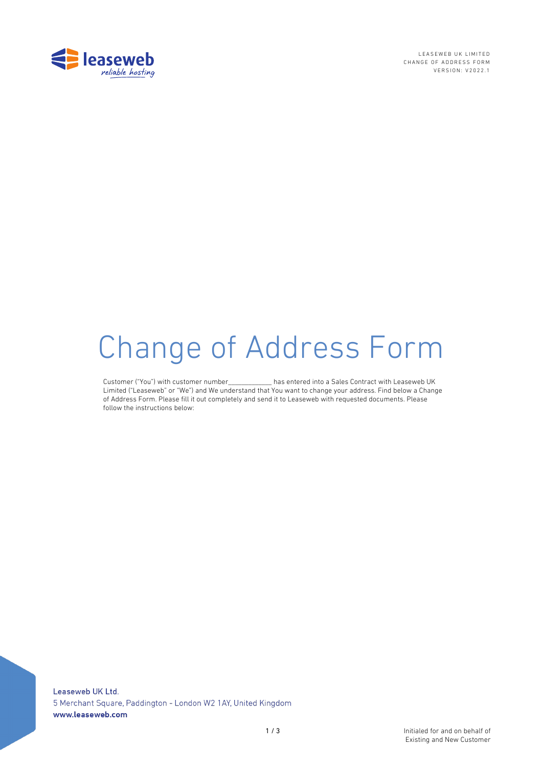

LEASEWEB UK LIMITED CHANGE OF ADDRESS FORM VERSION: V2022.1

# Change of Address Form

Customer ("You") with customer number\_\_\_\_\_\_\_\_\_\_\_\_\_ has entered into a Sales Contract with Leaseweb UK Limited ("Leaseweb" or "We") and We understand that You want to change your address. Find below a Change of Address Form. Please fill it out completely and send it to Leaseweb with requested documents. Please follow the instructions below: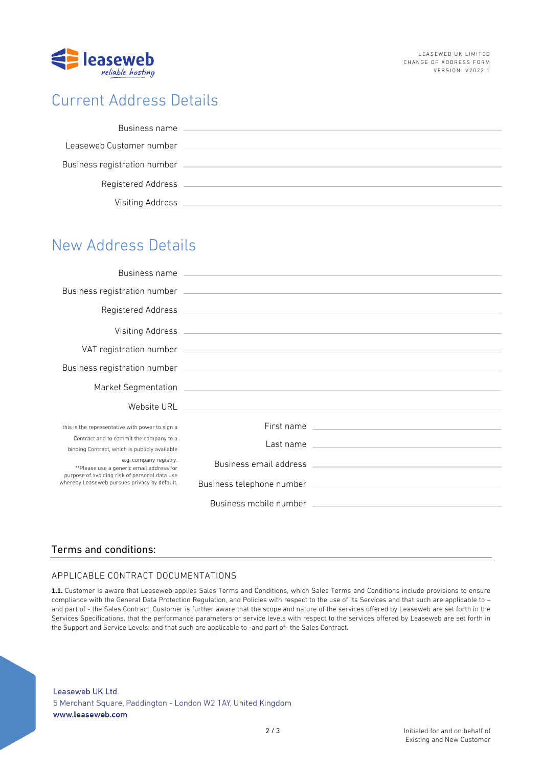

# Current Address Details

| Business name                |  |
|------------------------------|--|
| Leaseweb Customer number     |  |
| Business registration number |  |
| Registered Address           |  |
| Visiting Address             |  |

## New Address Details

| this is the representative with power to sign a                                                                                                                     | First name                                                                                                                                                                                                                           |
|---------------------------------------------------------------------------------------------------------------------------------------------------------------------|--------------------------------------------------------------------------------------------------------------------------------------------------------------------------------------------------------------------------------------|
| Contract and to commit the company to a<br>binding Contract, which is publicly available                                                                            | Last name <u>experience and the series of the series of the series of the series of the series of the series of the series of the series of the series of the series of the series of the series of the series of the series of </u> |
| e.g. company registry.<br>**Please use a generic email address for<br>purpose of avoiding risk of personal data use<br>whereby Leaseweb pursues privacy by default. |                                                                                                                                                                                                                                      |
|                                                                                                                                                                     |                                                                                                                                                                                                                                      |
|                                                                                                                                                                     |                                                                                                                                                                                                                                      |

## Terms and conditions:

## APPLICABLE CONTRACT DOCUMENTATIONS

**1.1.** Customer is aware that Leaseweb applies Sales Terms and Conditions, which Sales Terms and Conditions include provisions to ensure compliance with the General Data Protection Regulation, and Policies with respect to the use of its Services and that such are applicable to – and part of - the Sales Contract. Customer is further aware that the scope and nature of the services offered by Leaseweb are set forth in the Services Specifications, that the performance parameters or service levels with respect to the services offered by Leaseweb are set forth in the Support and Service Levels; and that such are applicable to -and part of- the Sales Contract.